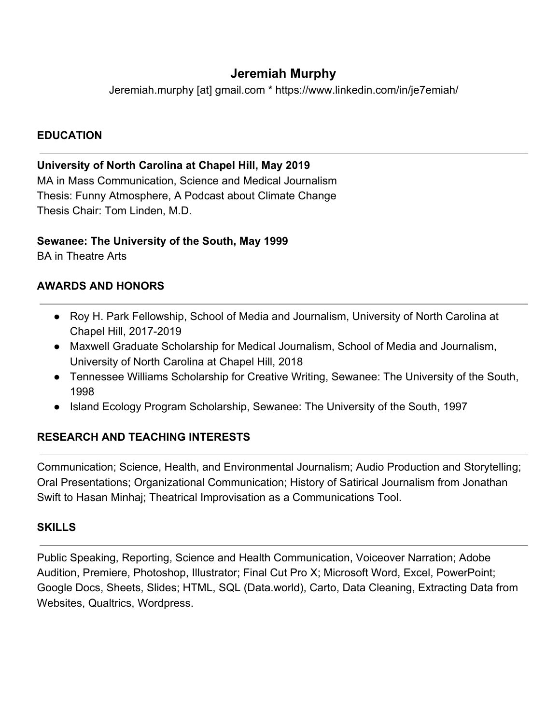# **Jeremiah Murphy**

Jeremiah.murphy [at] gmail.com \* https://www.linkedin.com/in/je7emiah/

## **EDUCATION**

## **University of North Carolina at Chapel Hill, May 2019**

MA in Mass Communication, Science and Medical Journalism Thesis: Funny Atmosphere, A Podcast about Climate Change Thesis Chair: Tom Linden, M.D.

#### **Sewanee: The University of the South, May 1999**

BA in Theatre Arts

## **AWARDS AND HONORS**

- Roy H. Park Fellowship, School of Media and Journalism, University of North Carolina at Chapel Hill, 2017-2019
- Maxwell Graduate Scholarship for Medical Journalism, School of Media and Journalism, University of North Carolina at Chapel Hill, 2018
- Tennessee Williams Scholarship for Creative Writing, Sewanee: The University of the South, 1998
- Island Ecology Program Scholarship, Sewanee: The University of the South, 1997

# **RESEARCH AND TEACHING INTERESTS**

Communication; Science, Health, and Environmental Journalism; Audio Production and Storytelling; Oral Presentations; Organizational Communication; History of Satirical Journalism from Jonathan Swift to Hasan Minhaj; Theatrical Improvisation as a Communications Tool.

## **SKILLS**

Public Speaking, Reporting, Science and Health Communication, Voiceover Narration; Adobe Audition, Premiere, Photoshop, Illustrator; Final Cut Pro X; Microsoft Word, Excel, PowerPoint; Google Docs, Sheets, Slides; HTML, SQL (Data.world), Carto, Data Cleaning, Extracting Data from Websites, Qualtrics, Wordpress.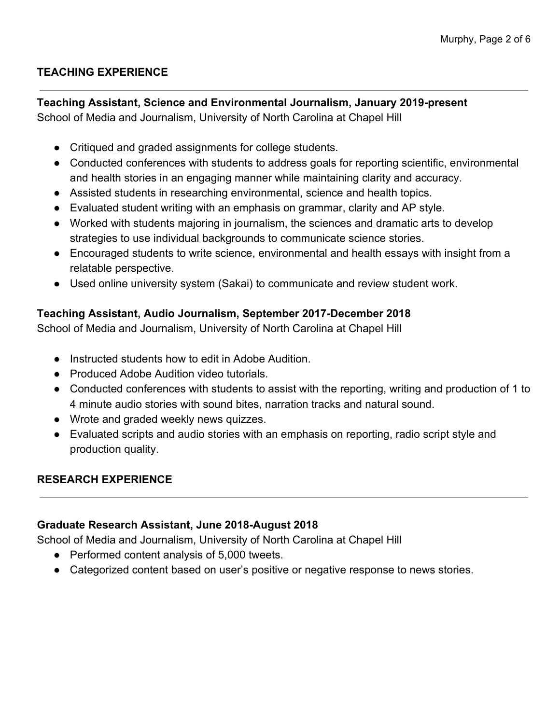# **TEACHING EXPERIENCE**

# **Teaching Assistant, Science and Environmental Journalism, January 2019-present**

School of Media and Journalism, University of North Carolina at Chapel Hill

- Critiqued and graded assignments for college students.
- Conducted conferences with students to address goals for reporting scientific, environmental and health stories in an engaging manner while maintaining clarity and accuracy.
- Assisted students in researching environmental, science and health topics.
- Evaluated student writing with an emphasis on grammar, clarity and AP style.
- Worked with students majoring in journalism, the sciences and dramatic arts to develop strategies to use individual backgrounds to communicate science stories.
- Encouraged students to write science, environmental and health essays with insight from a relatable perspective.
- Used online university system (Sakai) to communicate and review student work.

# **Teaching Assistant, Audio Journalism, September 2017-December 2018**

School of Media and Journalism, University of North Carolina at Chapel Hill

- Instructed students how to edit in Adobe Audition.
- Produced Adobe Audition video tutorials.
- Conducted conferences with students to assist with the reporting, writing and production of 1 to 4 minute audio stories with sound bites, narration tracks and natural sound.
- Wrote and graded weekly news quizzes.
- Evaluated scripts and audio stories with an emphasis on reporting, radio script style and production quality.

# **RESEARCH EXPERIENCE**

# **Graduate Research Assistant, June 2018-August 2018**

School of Media and Journalism, University of North Carolina at Chapel Hill

- Performed content analysis of 5,000 tweets.
- Categorized content based on user's positive or negative response to news stories.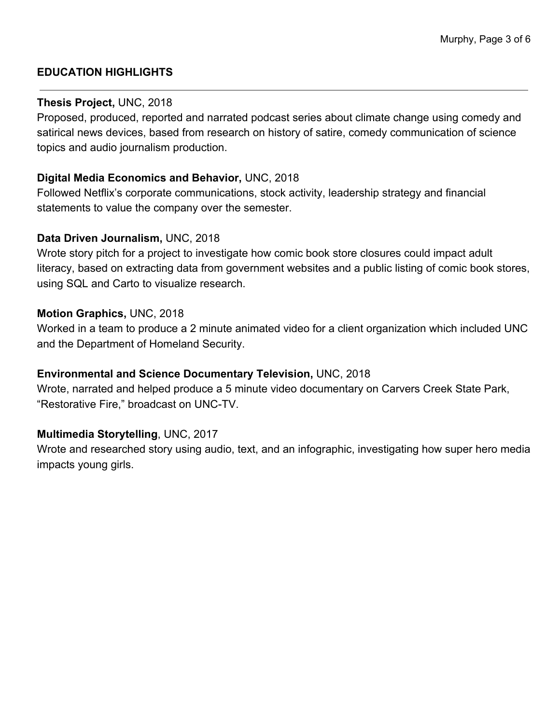## **EDUCATION HIGHLIGHTS**

#### **Thesis Project,** UNC, 2018

Proposed, produced, reported and narrated podcast series about climate change using comedy and satirical news devices, based from research on history of satire, comedy communication of science topics and audio journalism production.

### **Digital Media Economics and Behavior,** UNC, 2018

Followed Netflix's corporate communications, stock activity, leadership strategy and financial statements to value the company over the semester.

#### **Data Driven Journalism,** UNC, 2018

Wrote story pitch for a project to investigate how comic book store closures could impact adult literacy, based on extracting data from government websites and a public listing of comic book stores, using SQL and Carto to visualize research.

#### **Motion Graphics,** UNC, 2018

Worked in a team to produce a 2 minute animated video for a client organization which included UNC and the Department of Homeland Security.

## **Environmental and Science Documentary Television,** UNC, 2018

Wrote, narrated and helped produce a 5 minute video documentary on Carvers Creek State Park, "Restorative Fire," broadcast on UNC-TV.

## **Multimedia Storytelling**, UNC, 2017

Wrote and researched story using audio, text, and an infographic, investigating how super hero media impacts young girls.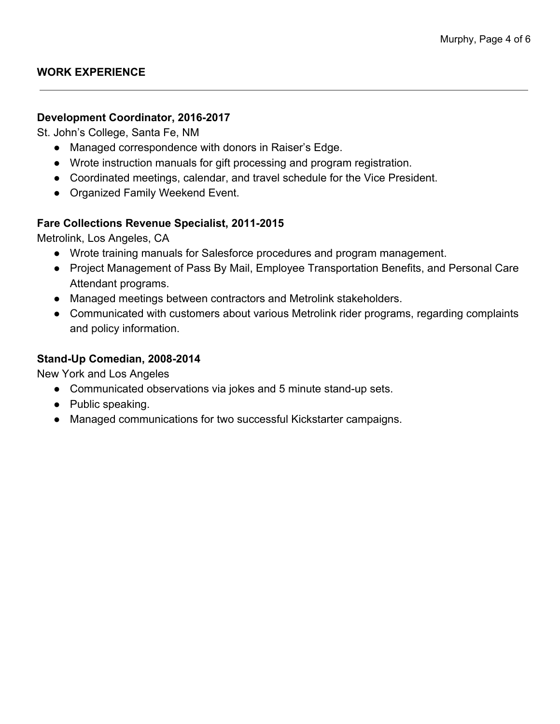#### **Development Coordinator, 2016-2017**

St. John's College, Santa Fe, NM

- Managed correspondence with donors in Raiser's Edge.
- Wrote instruction manuals for gift processing and program registration.
- Coordinated meetings, calendar, and travel schedule for the Vice President.
- Organized Family Weekend Event.

## **Fare Collections Revenue Specialist, 2011-2015**

Metrolink, Los Angeles, CA

- Wrote training manuals for Salesforce procedures and program management.
- Project Management of Pass By Mail, Employee Transportation Benefits, and Personal Care Attendant programs.
- Managed meetings between contractors and Metrolink stakeholders.
- Communicated with customers about various Metrolink rider programs, regarding complaints and policy information.

### **Stand-Up Comedian, 2008-2014**

New York and Los Angeles

- Communicated observations via jokes and 5 minute stand-up sets.
- Public speaking.
- Managed communications for two successful Kickstarter campaigns.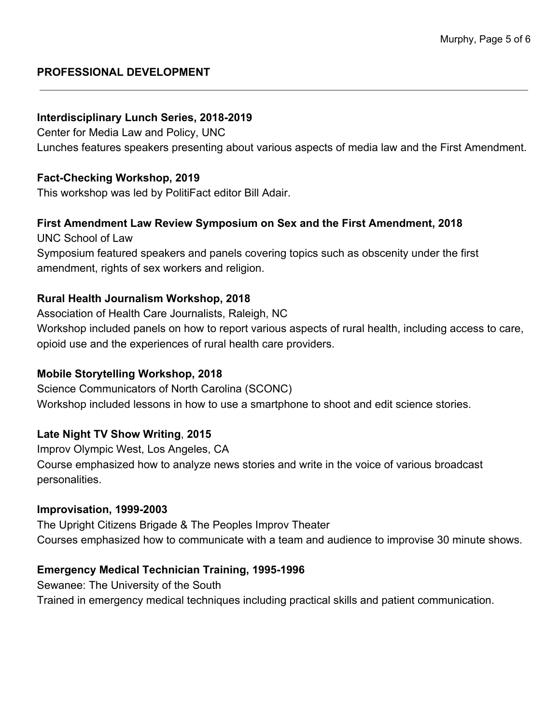## **PROFESSIONAL DEVELOPMENT**

#### **Interdisciplinary Lunch Series, 2018-2019**

Center for Media Law and Policy, UNC Lunches features speakers presenting about various aspects of media law and the First Amendment.

### **Fact-Checking Workshop, 2019**

This workshop was led by PolitiFact editor Bill Adair.

## **First Amendment Law Review Symposium on Sex and the First Amendment, 2018**

UNC School of Law Symposium featured speakers and panels covering topics such as obscenity under the first amendment, rights of sex workers and religion.

#### **Rural Health Journalism Workshop, 2018**

Association of Health Care Journalists, Raleigh, NC Workshop included panels on how to report various aspects of rural health, including access to care, opioid use and the experiences of rural health care providers.

## **Mobile Storytelling Workshop, 2018**

Science Communicators of North Carolina (SCONC) Workshop included lessons in how to use a smartphone to shoot and edit science stories.

## **Late Night TV Show Writing**, **2015**

Improv Olympic West, Los Angeles, CA Course emphasized how to analyze news stories and write in the voice of various broadcast personalities.

#### **Improvisation, 1999-2003**

The Upright Citizens Brigade & The Peoples Improv Theater Courses emphasized how to communicate with a team and audience to improvise 30 minute shows.

## **Emergency Medical Technician Training, 1995-1996**

Sewanee: The University of the South Trained in emergency medical techniques including practical skills and patient communication.